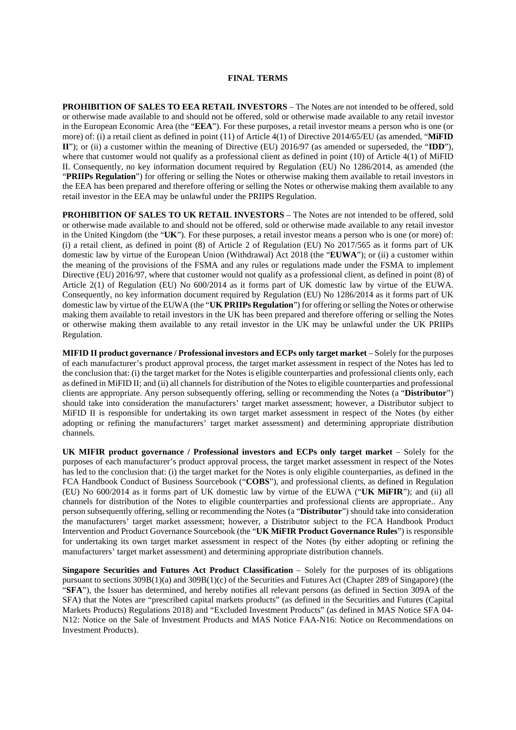### **FINAL TERMS**

**PROHIBITION OF SALES TO EEA RETAIL INVESTORS** – The Notes are not intended to be offered, sold or otherwise made available to and should not be offered, sold or otherwise made available to any retail investor in the European Economic Area (the "**EEA**"). For these purposes, a retail investor means a person who is one (or more) of: (i) a retail client as defined in point (11) of Article 4(1) of Directive 2014/65/EU (as amended, "**MiFID II**"); or (ii) a customer within the meaning of Directive (EU) 2016/97 (as amended or superseded, the "**IDD**"), where that customer would not qualify as a professional client as defined in point (10) of Article 4(1) of MiFID II. Consequently, no key information document required by Regulation (EU) No 1286/2014, as amended (the "**PRIIPs Regulation**") for offering or selling the Notes or otherwise making them available to retail investors in the EEA has been prepared and therefore offering or selling the Notes or otherwise making them available to any retail investor in the EEA may be unlawful under the PRIIPS Regulation.

**PROHIBITION OF SALES TO UK RETAIL INVESTORS** – The Notes are not intended to be offered, sold or otherwise made available to and should not be offered, sold or otherwise made available to any retail investor in the United Kingdom (the "**UK**"). For these purposes, a retail investor means a person who is one (or more) of: (i) a retail client, as defined in point (8) of Article 2 of Regulation (EU) No 2017/565 as it forms part of UK domestic law by virtue of the European Union (Withdrawal) Act 2018 (the "**EUWA**"); or (ii) a customer within the meaning of the provisions of the FSMA and any rules or regulations made under the FSMA to implement Directive (EU) 2016/97, where that customer would not qualify as a professional client, as defined in point (8) of Article 2(1) of Regulation (EU) No 600/2014 as it forms part of UK domestic law by virtue of the EUWA. Consequently, no key information document required by Regulation (EU) No 1286/2014 as it forms part of UK domestic law by virtue of the EUWA (the "**UK PRIIPs Regulation**") for offering or selling the Notes or otherwise making them available to retail investors in the UK has been prepared and therefore offering or selling the Notes or otherwise making them available to any retail investor in the UK may be unlawful under the UK PRIIPs Regulation.

**MIFID II product governance / Professional investors and ECPs only target market** – Solely for the purposes of each manufacturer's product approval process, the target market assessment in respect of the Notes has led to the conclusion that: (i) the target market for the Notes is eligible counterparties and professional clients only, each as defined in MiFID II; and (ii) all channels for distribution of the Notes to eligible counterparties and professional clients are appropriate. Any person subsequently offering, selling or recommending the Notes (a "**Distributor**") should take into consideration the manufacturers' target market assessment; however, a Distributor subject to MiFID II is responsible for undertaking its own target market assessment in respect of the Notes (by either adopting or refining the manufacturers' target market assessment) and determining appropriate distribution channels.

**UK MIFIR product governance / Professional investors and ECPs only target market** – Solely for the purposes of each manufacturer's product approval process, the target market assessment in respect of the Notes has led to the conclusion that: (i) the target market for the Notes is only eligible counterparties, as defined in the FCA Handbook Conduct of Business Sourcebook ("**COBS**"), and professional clients, as defined in Regulation (EU) No 600/2014 as it forms part of UK domestic law by virtue of the EUWA ("**UK MiFIR**"); and (ii) all channels for distribution of the Notes to eligible counterparties and professional clients are appropriate.. Any person subsequently offering, selling or recommending the Notes (a "**Distributor**") should take into consideration the manufacturers' target market assessment; however, a Distributor subject to the FCA Handbook Product Intervention and Product Governance Sourcebook (the "**UK MiFIR Product Governance Rules**") is responsible for undertaking its own target market assessment in respect of the Notes (by either adopting or refining the manufacturers' target market assessment) and determining appropriate distribution channels.

**Singapore Securities and Futures Act Product Classification – Solely for the purposes of its obligations** pursuant to sections 309B(1)(a) and 309B(1)(c) of the Securities and Futures Act (Chapter 289 of Singapore) (the "**SFA**"), the Issuer has determined, and hereby notifies all relevant persons (as defined in Section 309A of the SFA) that the Notes are "prescribed capital markets products" (as defined in the Securities and Futures (Capital Markets Products) Regulations 2018) and "Excluded Investment Products" (as defined in MAS Notice SFA 04- N12: Notice on the Sale of Investment Products and MAS Notice FAA-N16: Notice on Recommendations on Investment Products).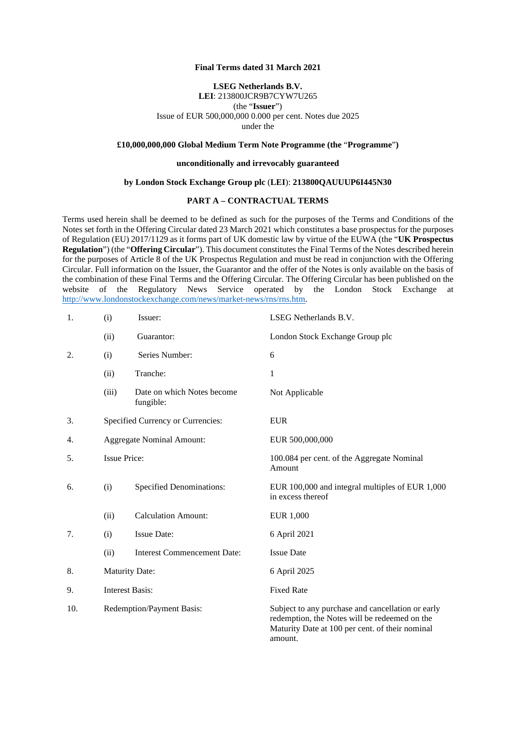#### **Final Terms dated 31 March 2021**

### **LSEG Netherlands B.V.**

# **LEI**: 213800JCR9B7CYW7U265

# (the "**Issuer**")

Issue of EUR 500,000,000 0.000 per cent. Notes due 2025

under the

#### **£10,000,000,000 Global Medium Term Note Programme (the** "**Programme**"**)**

#### **unconditionally and irrevocably guaranteed**

### **by London Stock Exchange Group plc** (**LEI**): **213800QAUUUP6I445N30**

### **PART A – CONTRACTUAL TERMS**

Terms used herein shall be deemed to be defined as such for the purposes of the Terms and Conditions of the Notes set forth in the Offering Circular dated 23 March 2021 which constitutes a base prospectus for the purposes of Regulation (EU) 2017/1129 as it forms part of UK domestic law by virtue of the EUWA (the "**UK Prospectus Regulation**") (the "**Offering Circular**"). This document constitutes the Final Terms of the Notes described herein for the purposes of Article 8 of the UK Prospectus Regulation and must be read in conjunction with the Offering Circular. Full information on the Issuer, the Guarantor and the offer of the Notes is only available on the basis of the combination of these Final Terms and the Offering Circular. The Offering Circular has been published on the website of the Regulatory News Service operated by the London Stock Exchange at http://www.londonstockexchange.com/news/market-news/rns/rns.htm.

| 1.  | (i)                       | Issuer:                                 | LSEG Netherlands B.V.                                                                                                                                            |
|-----|---------------------------|-----------------------------------------|------------------------------------------------------------------------------------------------------------------------------------------------------------------|
|     | (ii)                      | Guarantor:                              | London Stock Exchange Group plc                                                                                                                                  |
| 2.  | (i)                       | Series Number:                          | 6                                                                                                                                                                |
|     | (ii)                      | Tranche:                                | 1                                                                                                                                                                |
|     | (iii)                     | Date on which Notes become<br>fungible: | Not Applicable                                                                                                                                                   |
| 3.  |                           | Specified Currency or Currencies:       | <b>EUR</b>                                                                                                                                                       |
| 4.  |                           | <b>Aggregate Nominal Amount:</b>        | EUR 500,000,000                                                                                                                                                  |
| 5.  | <b>Issue Price:</b>       |                                         | 100.084 per cent. of the Aggregate Nominal<br>Amount                                                                                                             |
| 6.  | (i)                       | <b>Specified Denominations:</b>         | EUR 100,000 and integral multiples of EUR 1,000<br>in excess thereof                                                                                             |
|     | (ii)                      | <b>Calculation Amount:</b>              | <b>EUR 1,000</b>                                                                                                                                                 |
| 7.  | (i)                       | <b>Issue Date:</b>                      | 6 April 2021                                                                                                                                                     |
|     | (ii)                      | <b>Interest Commencement Date:</b>      | <b>Issue Date</b>                                                                                                                                                |
| 8.  | <b>Maturity Date:</b>     |                                         | 6 April 2025                                                                                                                                                     |
| 9.  | <b>Interest Basis:</b>    |                                         | <b>Fixed Rate</b>                                                                                                                                                |
| 10. | Redemption/Payment Basis: |                                         | Subject to any purchase and cancellation or early<br>redemption, the Notes will be redeemed on the<br>Maturity Date at 100 per cent. of their nominal<br>amount. |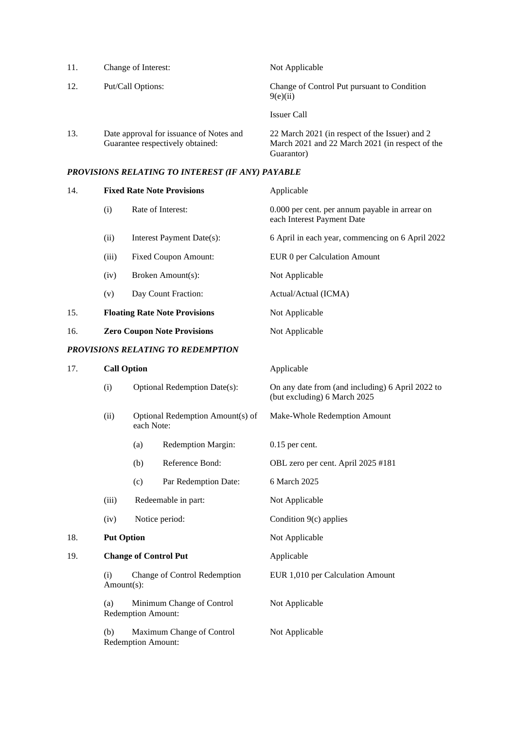| 11. | Change of Interest:                                                         | Not Applicable                                                                                                  |
|-----|-----------------------------------------------------------------------------|-----------------------------------------------------------------------------------------------------------------|
| 12. | Put/Call Options:                                                           | Change of Control Put pursuant to Condition<br>9(e)(ii)                                                         |
|     |                                                                             | Issuer Call                                                                                                     |
| 13. | Date approval for issuance of Notes and<br>Guarantee respectively obtained: | 22 March 2021 (in respect of the Issuer) and 2<br>March 2021 and 22 March 2021 (in respect of the<br>Guarantor) |

# *PROVISIONS RELATING TO INTEREST (IF ANY) PAYABLE*

| 14. | <b>Fixed Rate Note Provisions</b>                     |                                                                                                                            |  | Applicable                                                                       |
|-----|-------------------------------------------------------|----------------------------------------------------------------------------------------------------------------------------|--|----------------------------------------------------------------------------------|
|     | (i)                                                   | Rate of Interest:                                                                                                          |  | 0.000 per cent. per annum payable in arrear on<br>each Interest Payment Date     |
|     | (ii)                                                  | Interest Payment Date(s):                                                                                                  |  | 6 April in each year, commencing on 6 April 2022                                 |
|     | (iii)                                                 | <b>Fixed Coupon Amount:</b>                                                                                                |  | EUR 0 per Calculation Amount                                                     |
|     | (iv)                                                  | Broken Amount(s):                                                                                                          |  | Not Applicable                                                                   |
|     | (v)                                                   | Day Count Fraction:                                                                                                        |  | Actual/Actual (ICMA)                                                             |
| 15. |                                                       | <b>Floating Rate Note Provisions</b>                                                                                       |  | Not Applicable                                                                   |
| 16. |                                                       | <b>Zero Coupon Note Provisions</b>                                                                                         |  | Not Applicable                                                                   |
|     | <b>PROVISIONS RELATING TO REDEMPTION</b>              |                                                                                                                            |  |                                                                                  |
| 17. |                                                       | <b>Call Option</b><br>(i)<br><b>Optional Redemption Date(s):</b><br>(ii)<br>Optional Redemption Amount(s) of<br>each Note: |  | Applicable                                                                       |
|     |                                                       |                                                                                                                            |  | On any date from (and including) 6 April 2022 to<br>(but excluding) 6 March 2025 |
|     |                                                       |                                                                                                                            |  | Make-Whole Redemption Amount                                                     |
|     |                                                       | <b>Redemption Margin:</b><br>(a)                                                                                           |  | $0.15$ per cent.                                                                 |
|     | Reference Bond:<br>(b)<br>Par Redemption Date:<br>(c) |                                                                                                                            |  | OBL zero per cent. April 2025 #181                                               |
|     |                                                       |                                                                                                                            |  | 6 March 2025                                                                     |

- (iii) Redeemable in part: Not Applicable
- (iv) Notice period: Condition 9(c) applies
- 18. **Put Option Not Applicable**

| <b>Change of Control Put</b><br>19. |
|-------------------------------------|
|-------------------------------------|

(i) Change of Control Redemption Amount(s): EUR 1,010 per Calculation Amount (a) Minimum Change of Control Redemption Amount: Not Applicable

(b) Maximum Change of Control Redemption Amount:

Not Applicable

19. **Change of Control Put** Applicable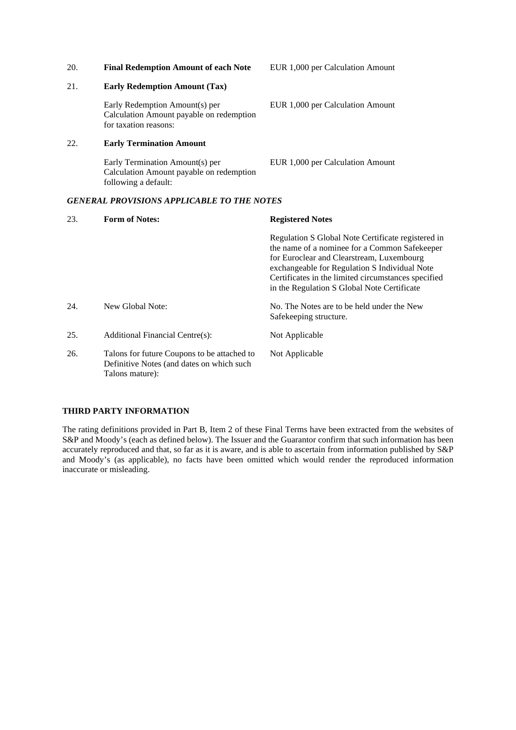### 20. **Final Redemption Amount of each Note** EUR 1,000 per Calculation Amount

# 21. **Early Redemption Amount (Tax)**

Early Redemption Amount(s) per Calculation Amount payable on redemption for taxation reasons:

### 22. **Early Termination Amount**

Early Termination Amount(s) per Calculation Amount payable on redemption following a default:

EUR 1,000 per Calculation Amount

EUR 1,000 per Calculation Amount

### *GENERAL PROVISIONS APPLICABLE TO THE NOTES*

| 23. | <b>Form of Notes:</b>                                                                                       | <b>Registered Notes</b>                                                                                                                                                                                                                                                                                 |
|-----|-------------------------------------------------------------------------------------------------------------|---------------------------------------------------------------------------------------------------------------------------------------------------------------------------------------------------------------------------------------------------------------------------------------------------------|
|     |                                                                                                             | Regulation S Global Note Certificate registered in<br>the name of a nominee for a Common Safekeeper<br>for Euroclear and Clearstream, Luxembourg<br>exchangeable for Regulation S Individual Note<br>Certificates in the limited circumstances specified<br>in the Regulation S Global Note Certificate |
| 24. | New Global Note:                                                                                            | No. The Notes are to be held under the New<br>Safekeeping structure.                                                                                                                                                                                                                                    |
| 25. | Additional Financial Centre(s):                                                                             | Not Applicable                                                                                                                                                                                                                                                                                          |
| 26. | Talons for future Coupons to be attached to<br>Definitive Notes (and dates on which such<br>Talons mature): | Not Applicable                                                                                                                                                                                                                                                                                          |

### **THIRD PARTY INFORMATION**

The rating definitions provided in Part B, Item 2 of these Final Terms have been extracted from the websites of S&P and Moody's (each as defined below). The Issuer and the Guarantor confirm that such information has been accurately reproduced and that, so far as it is aware, and is able to ascertain from information published by S&P and Moody's (as applicable), no facts have been omitted which would render the reproduced information inaccurate or misleading.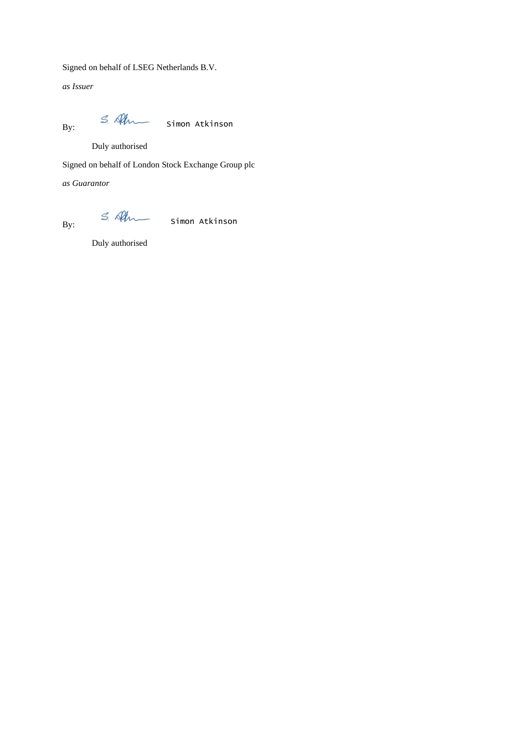Signed on behalf of LSEG Netherlands B.V.

*as Issuer* 

By:

Simon Atkinson

Duly authorised

Signed on behalf of London Stock Exchange Group plc

*as Guarantor* 

By:

Simon Atkinson

Duly authorised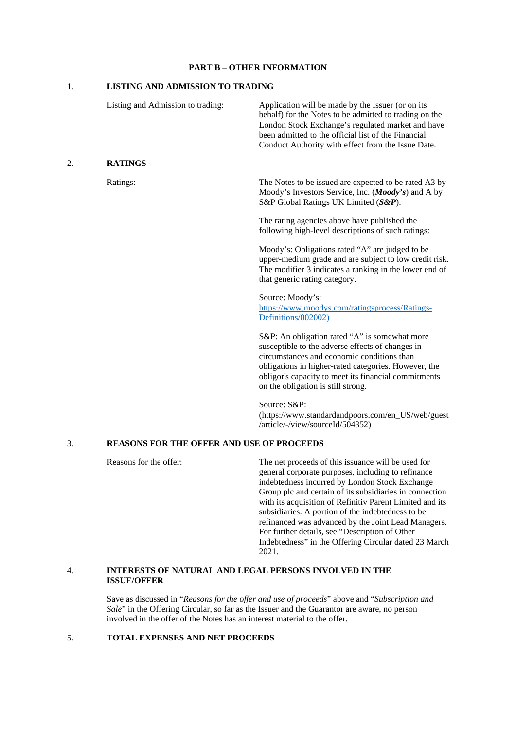### **PART B – OTHER INFORMATION**

### 1. **LISTING AND ADMISSION TO TRADING**

|    | Listing and Admission to trading:                | Application will be made by the Issuer (or on its<br>behalf) for the Notes to be admitted to trading on the<br>London Stock Exchange's regulated market and have<br>been admitted to the official list of the Financial<br>Conduct Authority with effect from the Issue Date.                                                                                                                                                                   |  |
|----|--------------------------------------------------|-------------------------------------------------------------------------------------------------------------------------------------------------------------------------------------------------------------------------------------------------------------------------------------------------------------------------------------------------------------------------------------------------------------------------------------------------|--|
| 2. | <b>RATINGS</b>                                   |                                                                                                                                                                                                                                                                                                                                                                                                                                                 |  |
|    | Ratings:                                         | The Notes to be issued are expected to be rated A3 by<br>Moody's Investors Service, Inc. (Moody's) and A by<br>S&P Global Ratings UK Limited (S&P).                                                                                                                                                                                                                                                                                             |  |
|    |                                                  | The rating agencies above have published the<br>following high-level descriptions of such ratings:                                                                                                                                                                                                                                                                                                                                              |  |
|    |                                                  | Moody's: Obligations rated "A" are judged to be<br>upper-medium grade and are subject to low credit risk.<br>The modifier 3 indicates a ranking in the lower end of<br>that generic rating category.                                                                                                                                                                                                                                            |  |
|    |                                                  | Source: Moody's:<br>https://www.moodys.com/ratingsprocess/Ratings-<br>Definitions/002002)                                                                                                                                                                                                                                                                                                                                                       |  |
|    |                                                  | S&P: An obligation rated "A" is somewhat more<br>susceptible to the adverse effects of changes in<br>circumstances and economic conditions than<br>obligations in higher-rated categories. However, the<br>obligor's capacity to meet its financial commitments<br>on the obligation is still strong.                                                                                                                                           |  |
|    |                                                  | Source: S&P:<br>(https://www.standardandpoors.com/en_US/web/guest<br>/article/-/view/sourceId/504352)                                                                                                                                                                                                                                                                                                                                           |  |
| 3. | <b>REASONS FOR THE OFFER AND USE OF PROCEEDS</b> |                                                                                                                                                                                                                                                                                                                                                                                                                                                 |  |
|    | Reasons for the offer:                           | The net proceeds of this issuance will be used for<br>general corporate purposes, including to refinance<br>indebtedness incurred by London Stock Exchange<br>Group plc and certain of its subsidiaries in connection<br>with its acquisition of Refinitiv Parent Limited and its<br>subsidiaries. A portion of the indebtedness to be<br>refinanced was advanced by the Joint Lead Managers.<br>For further details, see "Description of Other |  |

#### 4. **INTERESTS OF NATURAL AND LEGAL PERSONS INVOLVED IN THE ISSUE/OFFER**

Save as discussed in "*Reasons for the offer and use of proceeds*" above and "*Subscription and Sale*" in the Offering Circular, so far as the Issuer and the Guarantor are aware, no person involved in the offer of the Notes has an interest material to the offer.

2021.

Indebtedness" in the Offering Circular dated 23 March

# 5. **TOTAL EXPENSES AND NET PROCEEDS**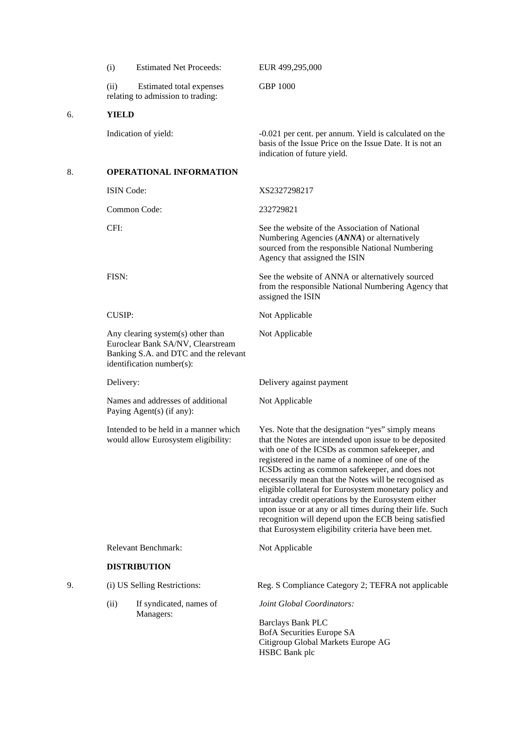|    | (i)<br><b>Estimated Net Proceeds:</b>                                                                                                        | EUR 499,295,000                                                                                                                                                                                                                                                                                                                                                                                                                                                                                                                                                                                                              |
|----|----------------------------------------------------------------------------------------------------------------------------------------------|------------------------------------------------------------------------------------------------------------------------------------------------------------------------------------------------------------------------------------------------------------------------------------------------------------------------------------------------------------------------------------------------------------------------------------------------------------------------------------------------------------------------------------------------------------------------------------------------------------------------------|
|    | Estimated total expenses<br>(ii)<br>relating to admission to trading:                                                                        | <b>GBP 1000</b>                                                                                                                                                                                                                                                                                                                                                                                                                                                                                                                                                                                                              |
| 6. | <b>YIELD</b>                                                                                                                                 |                                                                                                                                                                                                                                                                                                                                                                                                                                                                                                                                                                                                                              |
|    | Indication of yield:                                                                                                                         | -0.021 per cent. per annum. Yield is calculated on the<br>basis of the Issue Price on the Issue Date. It is not an<br>indication of future yield.                                                                                                                                                                                                                                                                                                                                                                                                                                                                            |
| 8. | <b>OPERATIONAL INFORMATION</b>                                                                                                               |                                                                                                                                                                                                                                                                                                                                                                                                                                                                                                                                                                                                                              |
|    | <b>ISIN</b> Code:                                                                                                                            | XS2327298217                                                                                                                                                                                                                                                                                                                                                                                                                                                                                                                                                                                                                 |
|    | Common Code:                                                                                                                                 | 232729821                                                                                                                                                                                                                                                                                                                                                                                                                                                                                                                                                                                                                    |
|    | CFI:                                                                                                                                         | See the website of the Association of National<br>Numbering Agencies (ANNA) or alternatively<br>sourced from the responsible National Numbering<br>Agency that assigned the ISIN                                                                                                                                                                                                                                                                                                                                                                                                                                             |
|    | FISN:                                                                                                                                        | See the website of ANNA or alternatively sourced<br>from the responsible National Numbering Agency that<br>assigned the ISIN                                                                                                                                                                                                                                                                                                                                                                                                                                                                                                 |
|    | <b>CUSIP:</b>                                                                                                                                | Not Applicable                                                                                                                                                                                                                                                                                                                                                                                                                                                                                                                                                                                                               |
|    | Any clearing system(s) other than<br>Euroclear Bank SA/NV, Clearstream<br>Banking S.A. and DTC and the relevant<br>identification number(s): | Not Applicable                                                                                                                                                                                                                                                                                                                                                                                                                                                                                                                                                                                                               |
|    | Delivery:                                                                                                                                    | Delivery against payment                                                                                                                                                                                                                                                                                                                                                                                                                                                                                                                                                                                                     |
|    | Names and addresses of additional<br>Paying Agent(s) (if any):                                                                               | Not Applicable                                                                                                                                                                                                                                                                                                                                                                                                                                                                                                                                                                                                               |
|    | Intended to be held in a manner which<br>would allow Eurosystem eligibility:                                                                 | Yes. Note that the designation "yes" simply means<br>that the Notes are intended upon issue to be deposited<br>with one of the ICSDs as common safekeeper, and<br>registered in the name of a nominee of one of the<br>ICSDs acting as common safekeeper, and does not<br>necessarily mean that the Notes will be recognised as<br>eligible collateral for Eurosystem monetary policy and<br>intraday credit operations by the Eurosystem either<br>upon issue or at any or all times during their life. Such<br>recognition will depend upon the ECB being satisfied<br>that Eurosystem eligibility criteria have been met. |
|    | <b>Relevant Benchmark:</b>                                                                                                                   | Not Applicable                                                                                                                                                                                                                                                                                                                                                                                                                                                                                                                                                                                                               |
|    | <b>DISTRIBUTION</b>                                                                                                                          |                                                                                                                                                                                                                                                                                                                                                                                                                                                                                                                                                                                                                              |
| 9. | (i) US Selling Restrictions:                                                                                                                 | Reg. S Compliance Category 2; TEFRA not applicable                                                                                                                                                                                                                                                                                                                                                                                                                                                                                                                                                                           |
|    | If syndicated, names of<br>(ii)<br>Managers:                                                                                                 | Joint Global Coordinators:<br><b>Barclays Bank PLC</b><br><b>BofA</b> Securities Europe SA<br>Citigroup Global Markets Europe AG<br><b>HSBC</b> Bank plc                                                                                                                                                                                                                                                                                                                                                                                                                                                                     |